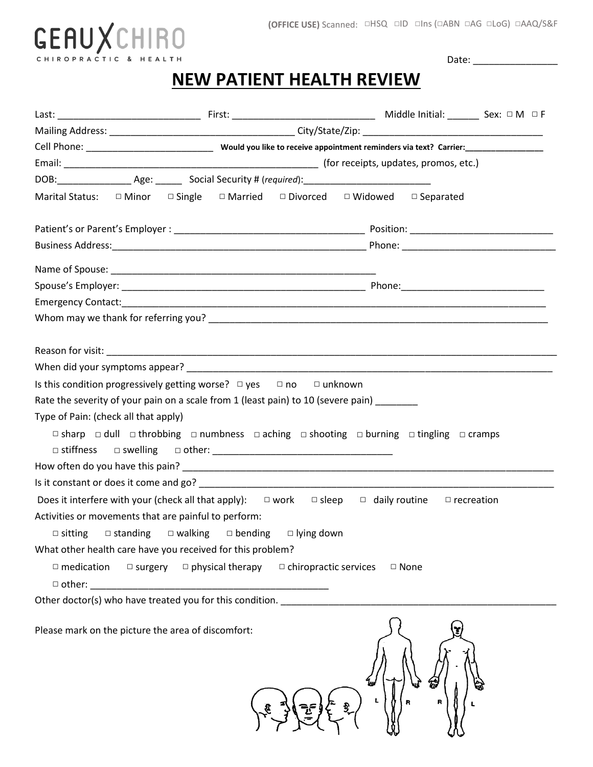#### **(OFFICE USE)** Scanned: □HSQ □ID □Ins (□ABN □AG □LoG) □AAQ/S&F



Date: \_\_\_\_\_\_\_\_\_\_\_\_\_\_\_\_

# **NEW PATIENT HEALTH REVIEW**

| Marital Status: $\square$ Minor $\square$ Single $\square$ Married $\square$ Divorced $\square$ Widowed $\square$ Separated |  |  |                                                                  |                                                                 |   |                                                                                                                                      |  |  |
|-----------------------------------------------------------------------------------------------------------------------------|--|--|------------------------------------------------------------------|-----------------------------------------------------------------|---|--------------------------------------------------------------------------------------------------------------------------------------|--|--|
|                                                                                                                             |  |  |                                                                  |                                                                 |   |                                                                                                                                      |  |  |
|                                                                                                                             |  |  |                                                                  |                                                                 |   |                                                                                                                                      |  |  |
|                                                                                                                             |  |  |                                                                  |                                                                 |   |                                                                                                                                      |  |  |
|                                                                                                                             |  |  |                                                                  |                                                                 |   |                                                                                                                                      |  |  |
|                                                                                                                             |  |  |                                                                  |                                                                 |   |                                                                                                                                      |  |  |
|                                                                                                                             |  |  |                                                                  |                                                                 |   |                                                                                                                                      |  |  |
|                                                                                                                             |  |  |                                                                  |                                                                 |   |                                                                                                                                      |  |  |
|                                                                                                                             |  |  |                                                                  |                                                                 |   |                                                                                                                                      |  |  |
|                                                                                                                             |  |  |                                                                  |                                                                 |   |                                                                                                                                      |  |  |
| Is this condition progressively getting worse? $\Box$ yes $\Box$ no $\Box$ unknown                                          |  |  |                                                                  |                                                                 |   |                                                                                                                                      |  |  |
| Rate the severity of your pain on a scale from 1 (least pain) to 10 (severe pain) ________                                  |  |  |                                                                  |                                                                 |   |                                                                                                                                      |  |  |
| Type of Pain: (check all that apply)                                                                                        |  |  |                                                                  |                                                                 |   |                                                                                                                                      |  |  |
|                                                                                                                             |  |  |                                                                  |                                                                 |   | $\Box$ sharp $\Box$ dull $\Box$ throbbing $\Box$ numbness $\Box$ aching $\Box$ shooting $\Box$ burning $\Box$ tingling $\Box$ cramps |  |  |
|                                                                                                                             |  |  |                                                                  |                                                                 |   |                                                                                                                                      |  |  |
|                                                                                                                             |  |  |                                                                  |                                                                 |   |                                                                                                                                      |  |  |
|                                                                                                                             |  |  |                                                                  |                                                                 |   |                                                                                                                                      |  |  |
|                                                                                                                             |  |  |                                                                  |                                                                 |   | Does it interfere with your (check all that apply): $\square$ work $\square$ sleep $\square$ daily routine $\square$ recreation      |  |  |
| Activities or movements that are painful to perform:                                                                        |  |  |                                                                  |                                                                 |   |                                                                                                                                      |  |  |
| $\Box$ sitting                                                                                                              |  |  |                                                                  | $\Box$ standing $\Box$ walking $\Box$ bending $\Box$ lying down |   |                                                                                                                                      |  |  |
| What other health care have you received for this problem?                                                                  |  |  |                                                                  |                                                                 |   |                                                                                                                                      |  |  |
| $\square$ medication                                                                                                        |  |  | $\Box$ surgery $\Box$ physical therapy                           | $\Box$ chiropractic services                                    |   | □ None                                                                                                                               |  |  |
| $\Box$ other:                                                                                                               |  |  | <u> 1980 - Jan James James Barnett, fransk politik (d. 1980)</u> |                                                                 |   |                                                                                                                                      |  |  |
| Other doctor(s) who have treated you for this condition.                                                                    |  |  |                                                                  |                                                                 |   |                                                                                                                                      |  |  |
|                                                                                                                             |  |  |                                                                  |                                                                 |   |                                                                                                                                      |  |  |
| Please mark on the picture the area of discomfort:                                                                          |  |  |                                                                  |                                                                 |   |                                                                                                                                      |  |  |
|                                                                                                                             |  |  |                                                                  |                                                                 |   |                                                                                                                                      |  |  |
|                                                                                                                             |  |  |                                                                  |                                                                 | L |                                                                                                                                      |  |  |
|                                                                                                                             |  |  |                                                                  |                                                                 |   |                                                                                                                                      |  |  |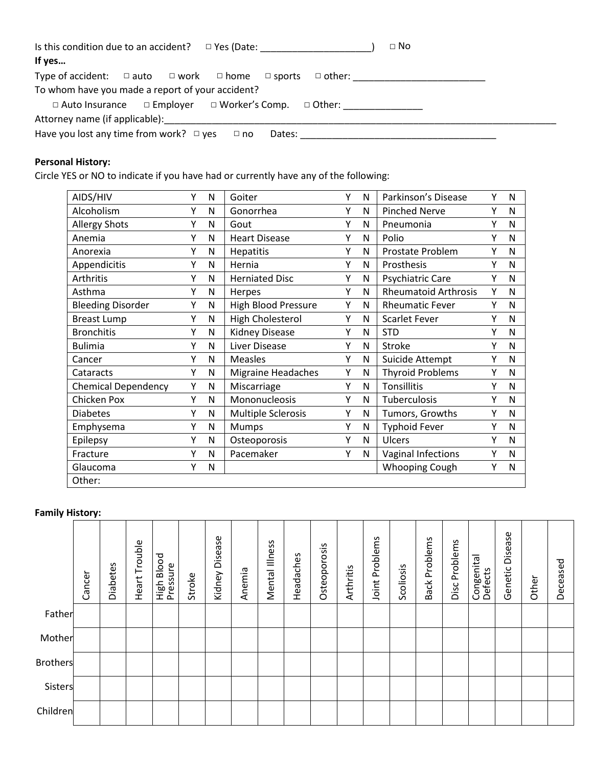| Is this condition due to an accident?<br>□ Yes (Date: _____________________ | $\Box$ No                             |
|-----------------------------------------------------------------------------|---------------------------------------|
| If yes                                                                      |                                       |
| Type of accident: $\Box$ auto $\Box$ work $\Box$ home $\Box$ sports         | □ other: ____________________________ |
| To whom have you made a report of your accident?                            |                                       |
| $\Box$ Auto Insurance $\Box$ Employer $\Box$ Worker's Comp. $\Box$ Other:   |                                       |
| Attorney name (if applicable):                                              |                                       |
| Have you lost any time from work? $\Box$ yes<br>Dates:<br>$\Box$ no         |                                       |

### **Personal History:**

Circle YES or NO to indicate if you have had or currently have any of the following:

| AIDS/HIV                   | Υ | N | Goiter                    | Υ | N            | Parkinson's Disease         | Υ | N            |
|----------------------------|---|---|---------------------------|---|--------------|-----------------------------|---|--------------|
| Alcoholism                 | γ | N | Gonorrhea                 | γ | N            | <b>Pinched Nerve</b>        | γ | N            |
| <b>Allergy Shots</b>       | Υ | N | Gout                      | γ | N            | Pneumonia                   | Υ | N            |
| Anemia                     | Υ | N | <b>Heart Disease</b>      | Υ | N            | Polio                       | Υ | N            |
| Anorexia                   | Υ | N | <b>Hepatitis</b>          | Υ | N            | Prostate Problem            | Υ | N            |
| Appendicitis               | Υ | N | Hernia                    | γ | N            | Prosthesis                  | Υ | N            |
| Arthritis                  | Υ | N | <b>Herniated Disc</b>     | Υ | N            | Psychiatric Care            | Υ | N            |
| Asthma                     | Υ | N | Herpes                    | Υ | N            | <b>Rheumatoid Arthrosis</b> | Υ | N            |
| <b>Bleeding Disorder</b>   | Υ | N | High Blood Pressure       | Υ | $\mathsf{N}$ | <b>Rheumatic Fever</b>      | γ | N            |
| <b>Breast Lump</b>         | Υ | N | <b>High Cholesterol</b>   | Υ | N            | <b>Scarlet Fever</b>        | Υ | N            |
| <b>Bronchitis</b>          | Υ | N | <b>Kidney Disease</b>     | Υ | N            | <b>STD</b>                  | Υ | N            |
| <b>Bulimia</b>             | Υ | N | Liver Disease             | γ | N            | Stroke                      | γ | N            |
| Cancer                     | Υ | N | <b>Measles</b>            | Υ | N            | Suicide Attempt             | γ | N            |
| Cataracts                  | Υ | N | <b>Migraine Headaches</b> | Υ | N            | <b>Thyroid Problems</b>     | Υ | N            |
| <b>Chemical Dependency</b> | Υ | N | Miscarriage               | Υ | N            | Tonsillitis                 | Υ | N            |
| Chicken Pox                | Υ | N | Mononucleosis             | Υ | N            | Tuberculosis                | γ | $\mathsf{N}$ |
| <b>Diabetes</b>            | Υ | N | <b>Multiple Sclerosis</b> | Υ | N            | Tumors, Growths             | Υ | N            |
| Emphysema                  | Υ | N | Mumps                     | Υ | N            | <b>Typhoid Fever</b>        | Υ | N            |
| Epilepsy                   | Υ | N | Osteoporosis              | Υ | N            | Ulcers                      | Υ | N            |
| Fracture                   | Υ | N | Pacemaker                 | γ | N            | Vaginal Infections          | γ | N            |
| Glaucoma                   | Υ | N |                           |   |              | <b>Whooping Cough</b>       | Υ | N            |
| Other:                     |   |   |                           |   |              |                             |   |              |

### **Family History:**

|                 | Cancer | <b>Diabetes</b> | Heart Trouble | High Blood<br>Pressure | Stroke | Disease<br>Kidney | Anemia | Mental Illness | Headaches | Osteoporosis | Arthritis | Problems<br>Joint | Scoliosis | Back Problems | Disc Problems | Congenital<br>Defects | Disease<br>Genetic | Other | Deceased |
|-----------------|--------|-----------------|---------------|------------------------|--------|-------------------|--------|----------------|-----------|--------------|-----------|-------------------|-----------|---------------|---------------|-----------------------|--------------------|-------|----------|
| Father          |        |                 |               |                        |        |                   |        |                |           |              |           |                   |           |               |               |                       |                    |       |          |
| Mother          |        |                 |               |                        |        |                   |        |                |           |              |           |                   |           |               |               |                       |                    |       |          |
| <b>Brothers</b> |        |                 |               |                        |        |                   |        |                |           |              |           |                   |           |               |               |                       |                    |       |          |
| Sisters         |        |                 |               |                        |        |                   |        |                |           |              |           |                   |           |               |               |                       |                    |       |          |
| Children        |        |                 |               |                        |        |                   |        |                |           |              |           |                   |           |               |               |                       |                    |       |          |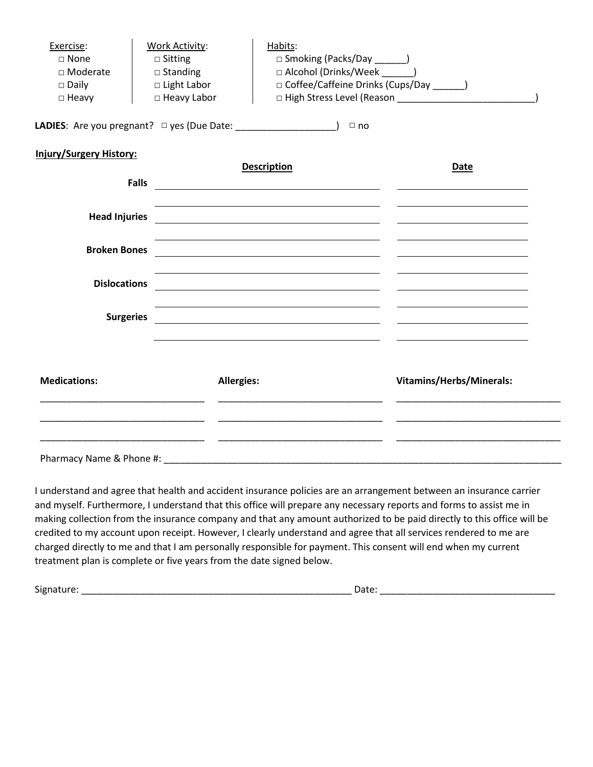| Exercise:<br>□ None<br>□ Moderate<br>$\square$ Daily<br>$\Box$ Heavy | <b>Work Activity:</b><br>$\Box$ Sitting<br>$\square$ Standing<br>□ Light Labor<br>□ Heavy Labor | Habits:<br>□ Smoking (Packs/Day _______)<br>□ Alcohol (Drinks/Week _______)<br>□ Coffee/Caffeine Drinks (Cups/Day ______)                                                                                                                                                                                                                             |                          |
|----------------------------------------------------------------------|-------------------------------------------------------------------------------------------------|-------------------------------------------------------------------------------------------------------------------------------------------------------------------------------------------------------------------------------------------------------------------------------------------------------------------------------------------------------|--------------------------|
|                                                                      | <b>LADIES:</b> Are you pregnant? $\Box$ yes (Due Date: $\Box$                                   | $\Box$ no                                                                                                                                                                                                                                                                                                                                             |                          |
| <b>Injury/Surgery History:</b>                                       | Falls                                                                                           | <b>Description</b><br><u> 1980 - Andrea Andrew Maria (h. 1980).</u>                                                                                                                                                                                                                                                                                   | Date                     |
| <b>Head Injuries</b>                                                 |                                                                                                 | <u> Alexandria de la contrada de la contrada de la contrada de la contrada de la contrada de la contrada de la c</u><br><u> 1989 - Johann Stoff, amerikansk politiker (* 1908)</u>                                                                                                                                                                    |                          |
| <b>Broken Bones</b>                                                  |                                                                                                 | <u> 1980 - Jan Samuel Barbara, margaret e populari e populari e populari e populari e populari e populari e popu</u>                                                                                                                                                                                                                                  |                          |
| <b>Dislocations</b>                                                  |                                                                                                 |                                                                                                                                                                                                                                                                                                                                                       |                          |
| <b>Surgeries</b>                                                     |                                                                                                 | the control of the control of the control of the control of the control of the control of the control of the control of the control of the control of the control of the control of the control of the control of the control<br><u> 1980 - Jan Stein Stein Stein Stein Stein Stein Stein Stein Stein Stein Stein Stein Stein Stein Stein Stein S</u> |                          |
| <b>Medications:</b>                                                  | <b>Allergies:</b>                                                                               |                                                                                                                                                                                                                                                                                                                                                       | Vitamins/Herbs/Minerals: |
|                                                                      |                                                                                                 |                                                                                                                                                                                                                                                                                                                                                       |                          |
| Pharmacy Name & Phone #:                                             |                                                                                                 |                                                                                                                                                                                                                                                                                                                                                       |                          |

I understand and agree that health and accident insurance policies are an arrangement between an insurance carrier and myself. Furthermore, I understand that this office will prepare any necessary reports and forms to assist me in making collection from the insurance company and that any amount authorized to be paid directly to this office will be credited to my account upon receipt. However, I clearly understand and agree that all services rendered to me are charged directly to me and that I am personally responsible for payment. This consent will end when my current treatment plan is complete or five years from the date signed below.

Signature: \_\_\_\_\_\_\_\_\_\_\_\_\_\_\_\_\_\_\_\_\_\_\_\_\_\_\_\_\_\_\_\_\_\_\_\_\_\_\_\_\_\_\_\_\_\_\_\_\_\_\_ Date: \_\_\_\_\_\_\_\_\_\_\_\_\_\_\_\_\_\_\_\_\_\_\_\_\_\_\_\_\_\_\_\_\_

| ۰,<br>. .<br>v<br>×<br>×<br>۰. |  |
|--------------------------------|--|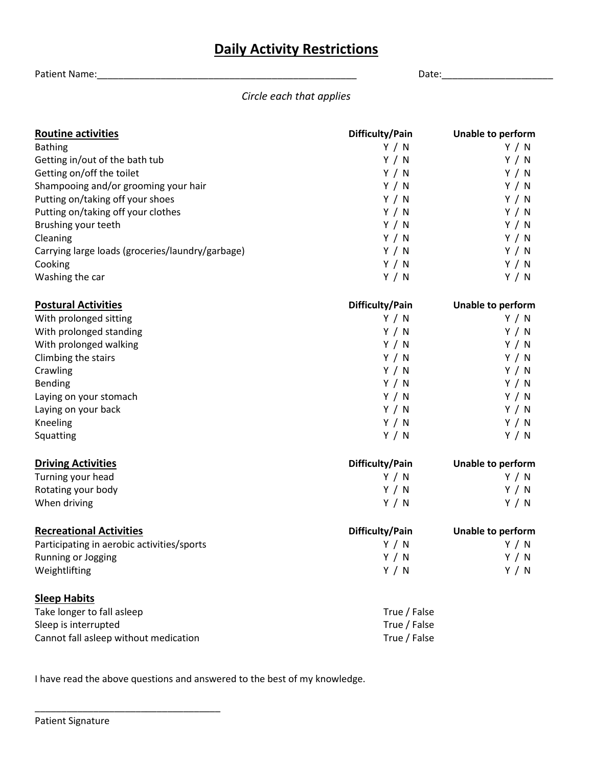# **Daily Activity Restrictions**

Patient Name:\_\_\_\_\_\_\_\_\_\_\_\_\_\_\_\_\_\_\_\_\_\_\_\_\_\_\_\_\_\_\_\_\_\_\_\_\_\_\_\_\_\_\_\_\_\_\_\_\_ Date:\_\_\_\_\_\_\_\_\_\_\_\_\_\_\_\_\_\_\_\_\_

*Circle each that applies*

| <b>Routine activities</b>                        | Difficulty/Pain | <b>Unable to perform</b> |
|--------------------------------------------------|-----------------|--------------------------|
| <b>Bathing</b>                                   | Y / N           | Y / N                    |
| Getting in/out of the bath tub                   | Y / N           | Y / N                    |
| Getting on/off the toilet                        | Y / N           | Y / N                    |
| Shampooing and/or grooming your hair             | Y / N           | Y / N                    |
| Putting on/taking off your shoes                 | Y / N           | Y / N                    |
| Putting on/taking off your clothes               | Y / N           | Y / N                    |
| Brushing your teeth                              | Y / N           | Y / N                    |
| Cleaning                                         | Y / N           | Y / N                    |
| Carrying large loads (groceries/laundry/garbage) | Y / N           | Y / N                    |
| Cooking                                          | Y / N           | Y / N                    |
| Washing the car                                  | Y / N           | Y / N                    |
| <b>Postural Activities</b>                       | Difficulty/Pain | Unable to perform        |
| With prolonged sitting                           | Y / N           | Y / N                    |
| With prolonged standing                          | Y / N           | Y / N                    |
| With prolonged walking                           | Y / N           | Y / N                    |
| Climbing the stairs                              | Y / N           | Y / N                    |
| Crawling                                         | Y / N           | Y / N                    |
| Bending                                          | Y / N           | Y / N                    |
| Laying on your stomach                           | Y / N           | Y / N                    |
| Laying on your back                              | Y / N           | Y / N                    |
| Kneeling                                         | Y / N           | Y / N                    |
| Squatting                                        | Y / N           | Y / N                    |
| <b>Driving Activities</b>                        | Difficulty/Pain | Unable to perform        |
| Turning your head                                | Y / N           | Y / N                    |
| Rotating your body                               | Y / N           | Y / N                    |
| When driving                                     | Y / N           | Y / N                    |
| <b>Recreational Activities</b>                   | Difficulty/Pain | Unable to perform        |
| Participating in aerobic activities/sports       | Y / N           | Y / N                    |
| Running or Jogging                               | Y / N           | Y / N                    |
| Weightlifting                                    | Y / N           | Y / N                    |
| <b>Sleep Habits</b>                              |                 |                          |
| Take longer to fall asleep                       | True / False    |                          |
| Sleep is interrupted                             | True / False    |                          |
| Cannot fall asleep without medication            | True / False    |                          |

I have read the above questions and answered to the best of my knowledge.

\_\_\_\_\_\_\_\_\_\_\_\_\_\_\_\_\_\_\_\_\_\_\_\_\_\_\_\_\_\_\_\_\_\_\_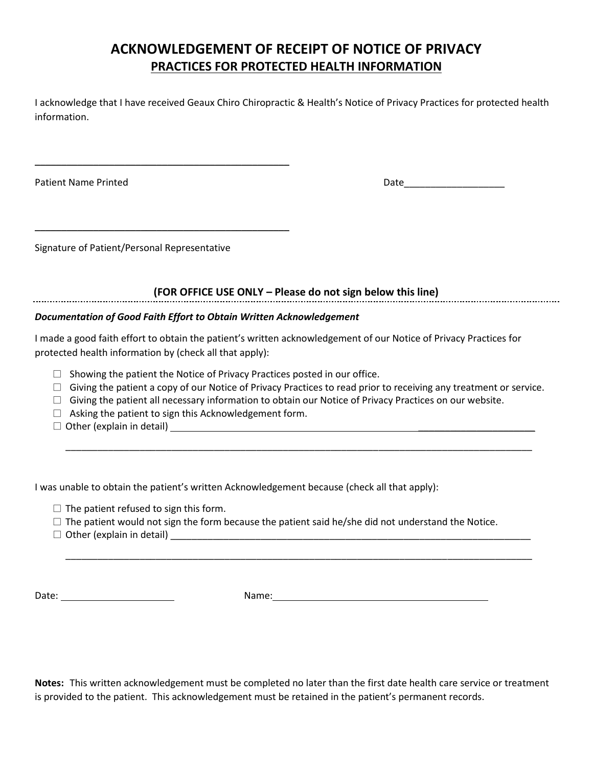## **ACKNOWLEDGEMENT OF RECEIPT OF NOTICE OF PRIVACY PRACTICES FOR PROTECTED HEALTH INFORMATION**

I acknowledge that I have received Geaux Chiro Chiropractic & Health's Notice of Privacy Practices for protected health information.

Patient Name Printed Date\_\_\_\_\_\_\_\_\_\_\_\_\_\_\_\_\_\_\_

Signature of Patient/Personal Representative

\_\_\_\_\_\_\_\_\_\_\_\_\_\_\_\_\_\_\_\_\_\_\_\_\_\_\_\_\_\_\_\_\_\_\_\_\_\_\_\_\_\_\_\_\_\_\_\_

\_\_\_\_\_\_\_\_\_\_\_\_\_\_\_\_\_\_\_\_\_\_\_\_\_\_\_\_\_\_\_\_\_\_\_\_\_\_\_\_\_\_\_\_\_\_\_\_

**(FOR OFFICE USE ONLY – Please do not sign below this line)**

#### *Documentation of Good Faith Effort to Obtain Written Acknowledgement*

I made a good faith effort to obtain the patient's written acknowledgement of our Notice of Privacy Practices for protected health information by (check all that apply):

- $\Box$  Showing the patient the Notice of Privacy Practices posted in our office.
- $\Box$  Giving the patient a copy of our Notice of Privacy Practices to read prior to receiving any treatment or service.

\_\_\_\_\_\_\_\_\_\_\_\_\_\_\_\_\_\_\_\_\_\_\_\_\_\_\_\_\_\_\_\_\_\_\_\_\_\_\_\_\_\_\_\_\_\_\_\_\_\_\_\_\_\_\_\_\_\_\_\_\_\_\_\_\_\_\_\_\_\_\_\_\_\_\_\_\_\_\_\_\_\_\_\_\_\_\_\_

\_\_\_\_\_\_\_\_\_\_\_\_\_\_\_\_\_\_\_\_\_\_\_\_\_\_\_\_\_\_\_\_\_\_\_\_\_\_\_\_\_\_\_\_\_\_\_\_\_\_\_\_\_\_\_\_\_\_\_\_\_\_\_\_\_\_\_\_\_\_\_\_\_\_\_\_\_\_\_\_\_\_\_\_\_\_\_\_

- $\Box$  Giving the patient all necessary information to obtain our Notice of Privacy Practices on our website.
- $\Box$  Asking the patient to sign this Acknowledgement form.
- $\square$  Other (explain in detail)  $\square$

I was unable to obtain the patient's written Acknowledgement because (check all that apply):

- $\square$  The patient refused to sign this form.
- $\square$  The patient would not sign the form because the patient said he/she did not understand the Notice.
- □ Other (explain in detail) \_\_\_\_\_\_\_\_\_\_\_\_\_\_\_\_\_\_\_\_\_\_\_\_\_\_\_\_\_\_\_\_\_\_\_\_\_\_\_\_\_\_\_\_\_\_\_\_\_\_\_\_\_\_\_\_\_\_\_\_\_\_\_\_\_\_\_\_

Date: Name:

**Notes:** This written acknowledgement must be completed no later than the first date health care service or treatment is provided to the patient. This acknowledgement must be retained in the patient's permanent records.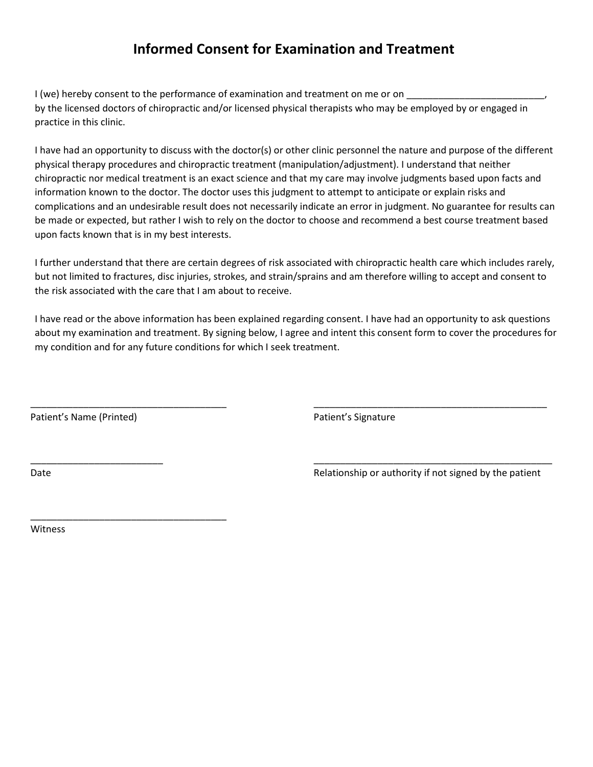## **Informed Consent for Examination and Treatment**

I (we) hereby consent to the performance of examination and treatment on me or on by the licensed doctors of chiropractic and/or licensed physical therapists who may be employed by or engaged in practice in this clinic.

I have had an opportunity to discuss with the doctor(s) or other clinic personnel the nature and purpose of the different physical therapy procedures and chiropractic treatment (manipulation/adjustment). I understand that neither chiropractic nor medical treatment is an exact science and that my care may involve judgments based upon facts and information known to the doctor. The doctor uses this judgment to attempt to anticipate or explain risks and complications and an undesirable result does not necessarily indicate an error in judgment. No guarantee for results can be made or expected, but rather I wish to rely on the doctor to choose and recommend a best course treatment based upon facts known that is in my best interests.

I further understand that there are certain degrees of risk associated with chiropractic health care which includes rarely, but not limited to fractures, disc injuries, strokes, and strain/sprains and am therefore willing to accept and consent to the risk associated with the care that I am about to receive.

I have read or the above information has been explained regarding consent. I have had an opportunity to ask questions about my examination and treatment. By signing below, I agree and intent this consent form to cover the procedures for my condition and for any future conditions for which I seek treatment.

\_\_\_\_\_\_\_\_\_\_\_\_\_\_\_\_\_\_\_\_\_\_\_\_\_\_\_\_\_\_\_\_\_\_\_\_\_ \_\_\_\_\_\_\_\_\_\_\_\_\_\_\_\_\_\_\_\_\_\_\_\_\_\_\_\_\_\_\_\_\_\_\_\_\_\_\_\_\_\_\_\_

\_\_\_\_\_\_\_\_\_\_\_\_\_\_\_\_\_\_\_\_\_\_\_\_\_ \_\_\_\_\_\_\_\_\_\_\_\_\_\_\_\_\_\_\_\_\_\_\_\_\_\_\_\_\_\_\_\_\_\_\_\_\_\_\_\_\_\_\_\_\_

Patient's Name (Printed) Patient's Signature

\_\_\_\_\_\_\_\_\_\_\_\_\_\_\_\_\_\_\_\_\_\_\_\_\_\_\_\_\_\_\_\_\_\_\_\_\_

Date **Date Relationship or authority if not signed by the patient C** and **Relationship** or authority if not signed by the patient

Witness